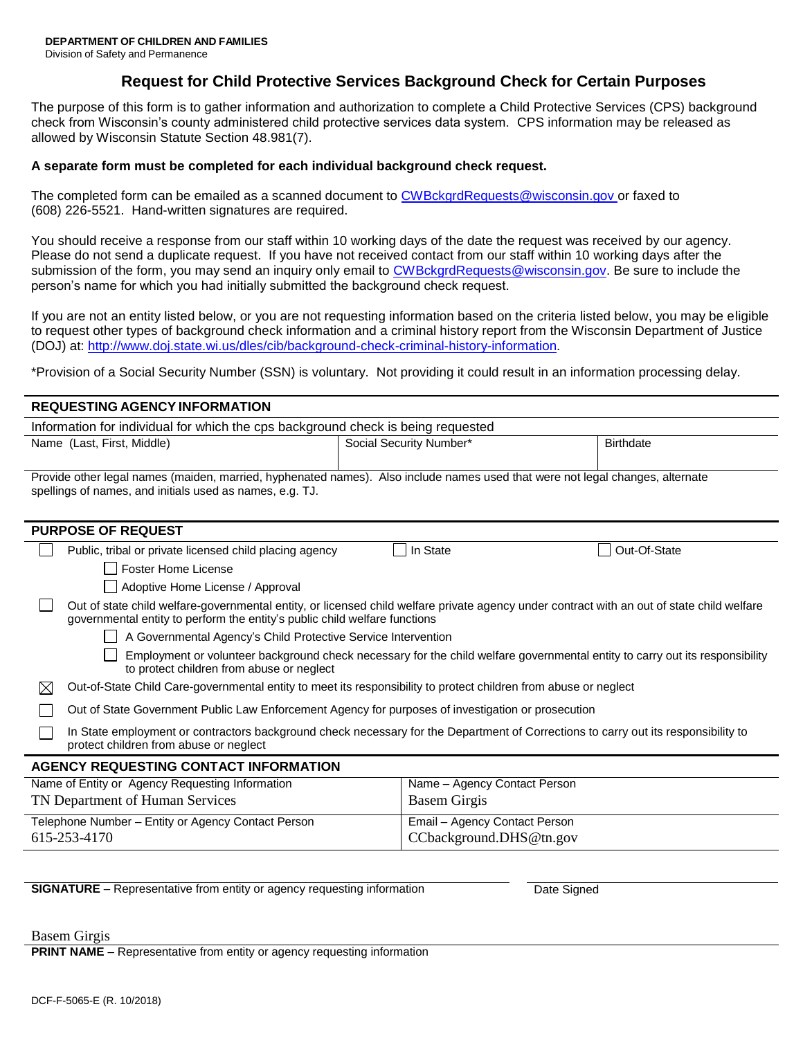Division of Safety and Permanence

# **Request for Child Protective Services Background Check for Certain Purposes**

The purpose of this form is to gather information and authorization to complete a Child Protective Services (CPS) background check from Wisconsin's county administered child protective services data system. CPS information may be released as allowed by Wisconsin Statute Section 48.981(7).

### **A separate form must be completed for each individual background check request.**

The completed form can be emailed as a scanned document to [CWBckgrdRequests@wisconsin.gov o](mailto:CWBckgrdRequests@wisconsin.gov)r faxed to (608) 226-5521. Hand-written signatures are required.

You should receive a response from our staff within 10 working days of the date the request was received by our agency. Please do not send a duplicate request. If you have not received contact from our staff within 10 working days after the submission of the form, you may send an inquiry only email to [CWBckgrdRequests@wisconsin.gov. B](mailto:CWBckgrdRequests@wisconsin.gov)e sure to include the person's name for which you had initially submitted the background check request.

If you are not an entity listed below, or you are not requesting information based on the criteria listed below, you may be eligible to request other types of background check information and a criminal history report from the Wisconsin Department of Justice (DOJ) at: [http://www.doj.state.wi.us/dles/cib/background-check-criminal-history-information.](http://www.doj.state.wi.us/dles/cib/background-check-criminal-history-information)

\*Provision of a Social Security Number (SSN) is voluntary. Not providing it could result in an information processing delay.

## **REQUESTING AGENCY INFORMATION**

| Information for individual for which the cps background check is being requested                                                                                                          |                         |                  |  |  |  |
|-------------------------------------------------------------------------------------------------------------------------------------------------------------------------------------------|-------------------------|------------------|--|--|--|
| Name (Last, First, Middle)                                                                                                                                                                | Social Security Number* | <b>Birthdate</b> |  |  |  |
|                                                                                                                                                                                           |                         |                  |  |  |  |
| Provide other legal names (maiden, married, hyphenated names). Also include names used that were not legal changes, alternate<br>spellings of names, and initials used as names, e.g. TJ. |                         |                  |  |  |  |
| <b>PURPOSE OF REQUEST</b>                                                                                                                                                                 |                         |                  |  |  |  |
| Public, tribal or private licensed child placing agency                                                                                                                                   | In State                | Out-Of-State     |  |  |  |
| Foster Home License                                                                                                                                                                       |                         |                  |  |  |  |
| Adoptive Home License / Approval                                                                                                                                                          |                         |                  |  |  |  |

| Out of state child welfare-governmental entity, or licensed child welfare private agency under contract with an out of state child welfare |
|--------------------------------------------------------------------------------------------------------------------------------------------|
| governmental entity to perform the entity's public child welfare functions                                                                 |

A Governmental Agency's Child Protective Service Intervention

Employment or volunteer background check necessary for the child welfare governmental entity to carry out its responsibility to protect children from abuse or neglect

Out-of-State Child Care-governmental entity to meet its responsibility to protect children from abuse or neglect

Out of State Government Public Law Enforcement Agency for purposes of investigation or prosecution

In State employment or contractors background check necessary for the Department of Corrections to carry out its responsibility to protect children from abuse or neglect

#### **AGENCY REQUESTING CONTACT INFORMATION**

| Name of Entity or Agency Requesting Information    | Name - Agency Contact Person  |
|----------------------------------------------------|-------------------------------|
| TN Department of Human Services                    | Basem Girgis                  |
| Telephone Number – Entity or Agency Contact Person | Email - Agency Contact Person |
| 615-253-4170                                       | CCbackground.DHS@tn.gov       |

**SIGNATURE** – Representative from entity or agency requesting information Date Signed

Basem Girgis

**PRINT NAME** – Representative from entity or agency requesting information